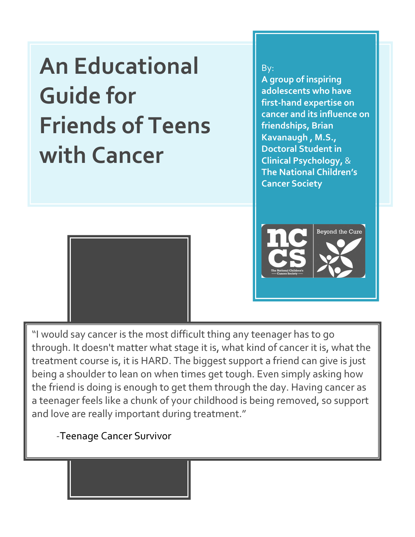An Educational Guide for Friends of Teens with Cancer

By:

A group of inspiring adolescents who have first-hand expertise on cancer and its influence on friendships, Brian Kavanaugh , M.S., Doctoral Student in Clinical Psychology, & The National Children's Cancer Society



l



"I would say cancer is the most difficult thing any teenager has to go through. It doesn't matter what stage it is, what kind of cancer it is, what the treatment course is, it is HARD. The biggest support a friend can give is just being a shoulder to lean on when times get tough. Even simply asking how the friend is doing is enough to get them through the day. Having cancer as a teenager feels like a chunk of your childhood is being removed, so support and love are really important during treatment."

-Teenage Cancer Survivor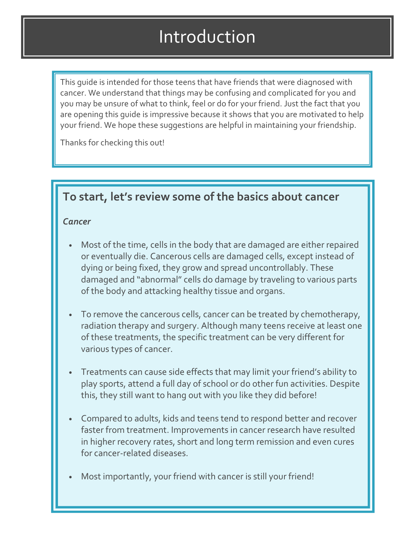# Introduction

This guide is intended for those teens that have friends that were diagnosed with cancer. We understand that things may be confusing and complicated for you and you may be unsure of what to think, feel or do for your friend. Just the fact that you are opening this guide is impressive because it shows that you are motivated to help your friend. We hope these suggestions are helpful in maintaining your friendship.

Thanks for checking this out!

## To start, let's review some of the basics about cancer

### **Cancer**

- Most of the time, cells in the body that are damaged are either repaired or eventually die. Cancerous cells are damaged cells, except instead of dying or being fixed, they grow and spread uncontrollably. These damaged and "abnormal" cells do damage by traveling to various parts of the body and attacking healthy tissue and organs.
- To remove the cancerous cells, cancer can be treated by chemotherapy, radiation therapy and surgery. Although many teens receive at least one of these treatments, the specific treatment can be very different for various types of cancer.
- Treatments can cause side effects that may limit your friend's ability to play sports, attend a full day of school or do other fun activities. Despite this, they still want to hang out with you like they did before!
- Compared to adults, kids and teens tend to respond better and recover faster from treatment. Improvements in cancer research have resulted in higher recovery rates, short and long term remission and even cures for cancer-related diseases.
- Most importantly, your friend with cancer is still your friend!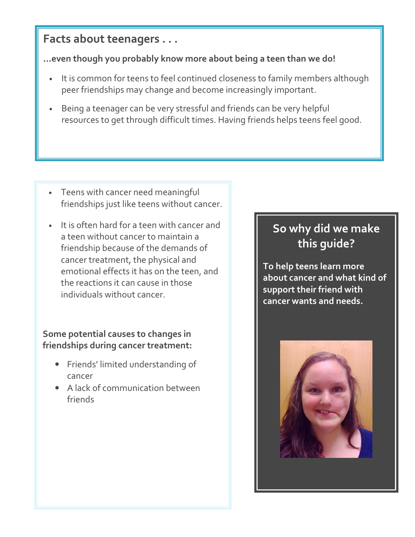### Facts about teenagers . . .

### ...even though you probably know more about being a teen than we do!

- It is common for teens to feel continued closeness to family members although peer friendships may change and become increasingly important.
- Being a teenager can be very stressful and friends can be very helpful resources to get through difficult times. Having friends helps teens feel good.

- Teens with cancer need meaningful friendships just like teens without cancer.
- It is often hard for a teen with cancer and a teen without cancer to maintain a friendship because of the demands of cancer treatment, the physical and emotional effects it has on the teen, and the reactions it can cause in those individuals without cancer.

### Some potential causes to changes in friendships during cancer treatment:

- Friends' limited understanding of cancer
- A lack of communication between friends

## So why did we make this guide?

To help teens learn more about cancer and what kind of support their friend with cancer wants and needs.

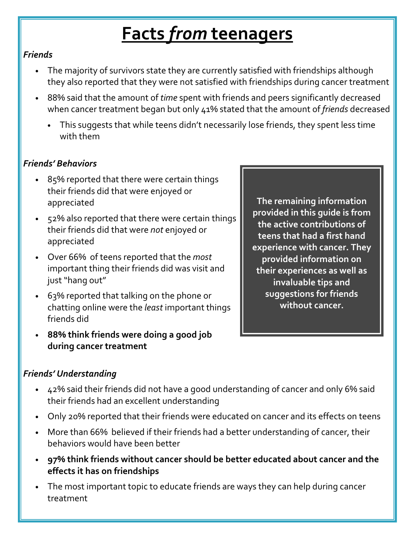# **Facts from teenagers**

### Friends

- The majority of survivors state they are currently satisfied with friendships although they also reported that they were not satisfied with friendships during cancer treatment
- 88% said that the amount of time spent with friends and peers significantly decreased when cancer treatment began but only 41% stated that the amount of friends decreased
	- This suggests that while teens didn't necessarily lose friends, they spent less time with them

### Friends' Behaviors

- 85% reported that there were certain things their friends did that were enjoyed or appreciated
- 52% also reported that there were certain things their friends did that were not enjoyed or appreciated
- Over 66% of teens reported that the most important thing their friends did was visit and just "hang out"
- 63% reported that talking on the phone or chatting online were the least important things friends did
- 88% think friends were doing a good job during cancer treatment

Friends' Understanding

- 42% said their friends did not have a good understanding of cancer and only 6% said their friends had an excellent understanding
- Only 20% reported that their friends were educated on cancer and its effects on teens
- More than 66% believed if their friends had a better understanding of cancer, their behaviors would have been better
- 97% think friends without cancer should be better educated about cancer and the effects it has on friendships
- The most important topic to educate friends are ways they can help during cancer treatment

The remaining information provided in this guide is from the active contributions of teens that had a first hand experience with cancer. They provided information on their experiences as well as invaluable tips and suggestions for friends without cancer.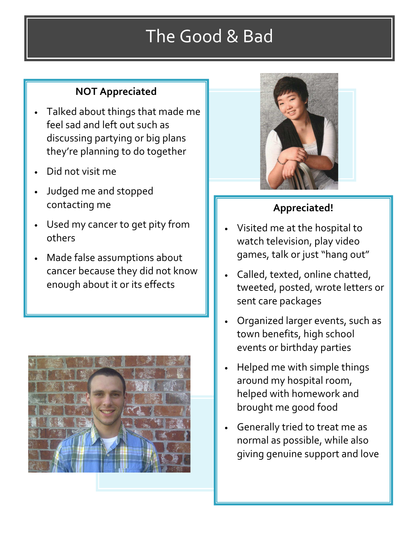# The Good & Bad

## NOT Appreciated

- Talked about things that made me feel sad and left out such as discussing partying or big plans they're planning to do together
- Did not visit me
- Judged me and stopped contacting me
- Used my cancer to get pity from others
- Made false assumptions about cancer because they did not know enough about it or its effects





## Appreciated!

- Visited me at the hospital to watch television, play video games, talk or just "hang out"
- Called, texted, online chatted, tweeted, posted, wrote letters or sent care packages
- Organized larger events, such as town benefits, high school events or birthday parties
- Helped me with simple things around my hospital room, helped with homework and brought me good food
- Generally tried to treat me as normal as possible, while also giving genuine support and love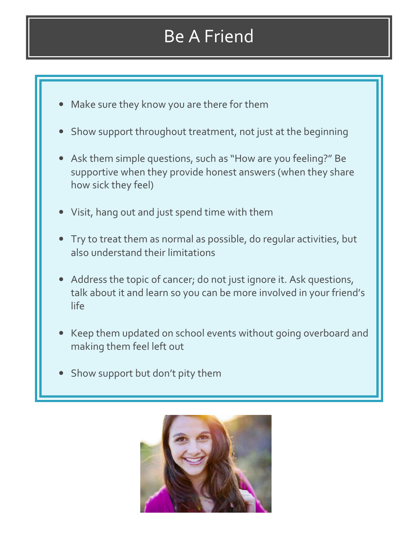# Be A Friend

- Make sure they know you are there for them
- Show support throughout treatment, not just at the beginning
- Ask them simple questions, such as "How are you feeling?" Be supportive when they provide honest answers (when they share how sick they feel)
- Visit, hang out and just spend time with them
- Try to treat them as normal as possible, do regular activities, but also understand their limitations
- Address the topic of cancer; do not just ignore it. Ask questions, talk about it and learn so you can be more involved in your friend's life
- Keep them updated on school events without going overboard and making them feel left out
- Show support but don't pity them

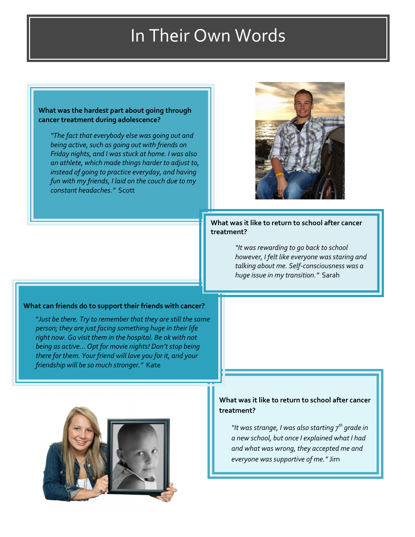## In Their Own Words

#### What was the hardest part about going through cancer treatment during adolescence?

"The fact that everybody else was going out and being active, such as going out with friends on Friday nights, and I was stuck at home. I was also an athlete, which made things harder to adjust to, instead of going to practice everyday, and having fun with my friends, I laid on the couch due to my constant headaches." Scott



#### What was it like to return to school after cancer treatment?

"It was rewarding to go back to school however, I felt like everyone was staring and talking about me. Self-consciousness was a huge issue in my transition." Sarah

#### What can friends do to support their friends with cancer?

"Just be there. Try to remember that they are still the same person; they are just facing something huge in their life right now. Go visit them in the hospital. Be ok with not being as active… Opt for movie nights! Don't stop being there for them. Your friend will love you for it, and your friendship will be so much stronger." Kate



a new school, but once I explained what I had and what was wrong, they accepted me and everyone was supportive of me." Jim

What was it like to return to school after cancer

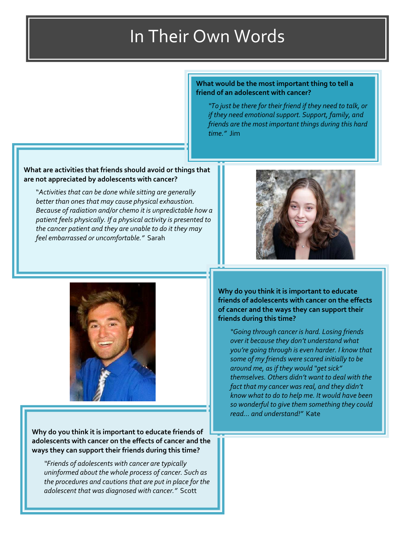#### What would be the most important thing to tell a friend of an adolescent with cancer?

"To just be there for their friend if they need to talk, or if they need emotional support. Support, family, and friends are the most important things during this hard time." Jim

#### What are activities that friends should avoid or things that are not appreciated by adolescents with cancer?

"Activities that can be done while sitting are generally better than ones that may cause physical exhaustion. Because of radiation and/or chemo it is unpredictable how a patient feels physically. If a physical activity is presented to the cancer patient and they are unable to do it they may feel embarrassed or uncomfortable." Sarah





Why do you think it is important to educate friends of adolescents with cancer on the effects of cancer and the ways they can support their friends during this time?

"Friends of adolescents with cancer are typically uninformed about the whole process of cancer. Such as the procedures and cautions that are put in place for the adolescent that was diagnosed with cancer." Scott

Why do you think it is important to educate friends of adolescents with cancer on the effects of cancer and the ways they can support their friends during this time?

"Going through cancer is hard. Losing friends over it because they don't understand what you're going through is even harder. I know that some of my friends were scared initially to be around me, as if they would "get sick" themselves. Others didn't want to deal with the fact that my cancer was real, and they didn't know what to do to help me. It would have been so wonderful to give them something they could read… and understand!" Kate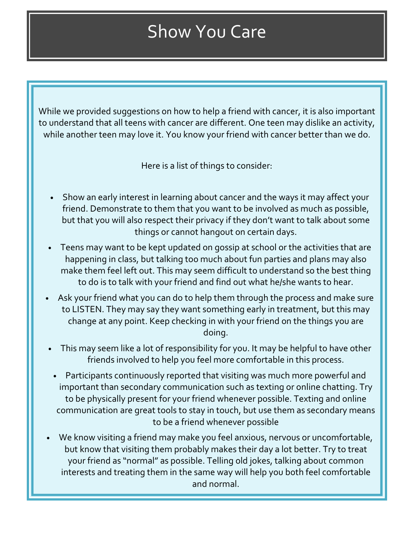# Show You Care

While we provided suggestions on how to help a friend with cancer, it is also important to understand that all teens with cancer are different. One teen may dislike an activity, while another teen may love it. You know your friend with cancer better than we do.

Here is a list of things to consider:

- Show an early interest in learning about cancer and the ways it may affect your friend. Demonstrate to them that you want to be involved as much as possible, but that you will also respect their privacy if they don't want to talk about some things or cannot hangout on certain days.
- Teens may want to be kept updated on gossip at school or the activities that are happening in class, but talking too much about fun parties and plans may also make them feel left out. This may seem difficult to understand so the best thing to do is to talk with your friend and find out what he/she wants to hear.
- Ask your friend what you can do to help them through the process and make sure to LISTEN. They may say they want something early in treatment, but this may change at any point. Keep checking in with your friend on the things you are doing.
- This may seem like a lot of responsibility for you. It may be helpful to have other friends involved to help you feel more comfortable in this process.
- Participants continuously reported that visiting was much more powerful and important than secondary communication such as texting or online chatting. Try to be physically present for your friend whenever possible. Texting and online communication are great tools to stay in touch, but use them as secondary means to be a friend whenever possible
- We know visiting a friend may make you feel anxious, nervous or uncomfortable, but know that visiting them probably makes their day a lot better. Try to treat your friend as "normal" as possible. Telling old jokes, talking about common interests and treating them in the same way will help you both feel comfortable and normal.